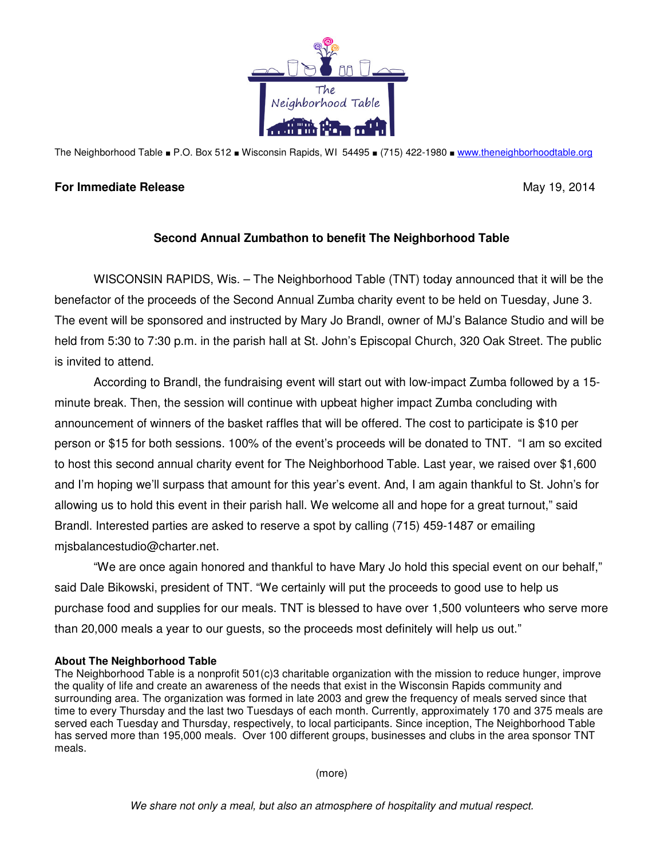

The Neighborhood Table ■ P.O. Box 512 ■ Wisconsin Rapids, WI 54495 ■ (715) 422-1980 ■ www.theneighborhoodtable.org

## **For Immediate Release**  May 19, 2014

## **Second Annual Zumbathon to benefit The Neighborhood Table**

 WISCONSIN RAPIDS, Wis. – The Neighborhood Table (TNT) today announced that it will be the benefactor of the proceeds of the Second Annual Zumba charity event to be held on Tuesday, June 3. The event will be sponsored and instructed by Mary Jo Brandl, owner of MJ's Balance Studio and will be held from 5:30 to 7:30 p.m. in the parish hall at St. John's Episcopal Church, 320 Oak Street. The public is invited to attend.

 According to Brandl, the fundraising event will start out with low-impact Zumba followed by a 15 minute break. Then, the session will continue with upbeat higher impact Zumba concluding with announcement of winners of the basket raffles that will be offered. The cost to participate is \$10 per person or \$15 for both sessions. 100% of the event's proceeds will be donated to TNT. "I am so excited to host this second annual charity event for The Neighborhood Table. Last year, we raised over \$1,600 and I'm hoping we'll surpass that amount for this year's event. And, I am again thankful to St. John's for allowing us to hold this event in their parish hall. We welcome all and hope for a great turnout," said Brandl. Interested parties are asked to reserve a spot by calling (715) 459-1487 or emailing mjsbalancestudio@charter.net.

 "We are once again honored and thankful to have Mary Jo hold this special event on our behalf," said Dale Bikowski, president of TNT. "We certainly will put the proceeds to good use to help us purchase food and supplies for our meals. TNT is blessed to have over 1,500 volunteers who serve more than 20,000 meals a year to our guests, so the proceeds most definitely will help us out."

## **About The Neighborhood Table**

The Neighborhood Table is a nonprofit 501(c)3 charitable organization with the mission to reduce hunger, improve the quality of life and create an awareness of the needs that exist in the Wisconsin Rapids community and surrounding area. The organization was formed in late 2003 and grew the frequency of meals served since that time to every Thursday and the last two Tuesdays of each month. Currently, approximately 170 and 375 meals are served each Tuesday and Thursday, respectively, to local participants. Since inception, The Neighborhood Table has served more than 195,000 meals. Over 100 different groups, businesses and clubs in the area sponsor TNT meals.

(more)